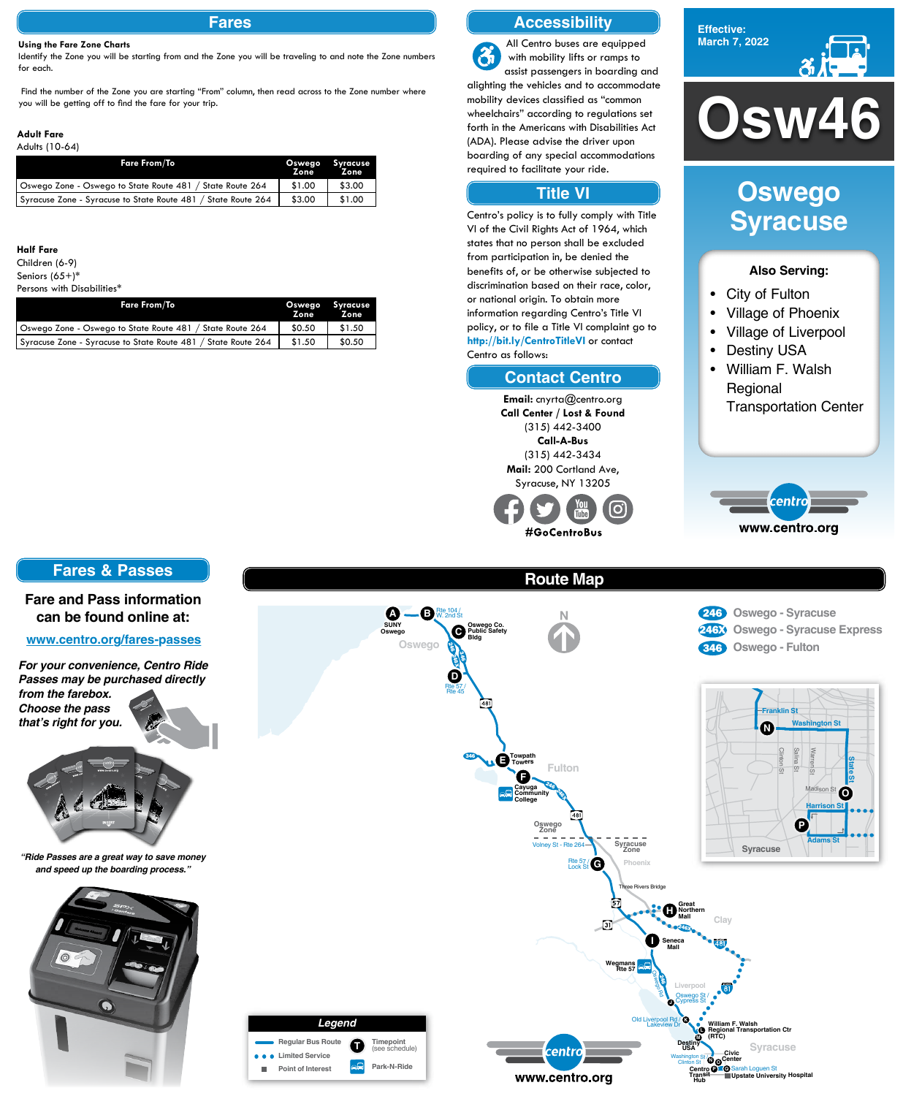# **Osw46**





#### **Also Serving:**

- City of Fulton
- Village of Phoenix
- Village of Liverpool
- Destiny USA
- William F. Walsh Regional Transportation Center



## **Oswego Syracuse**

#### **Fares**

#### **Using the Fare Zone Charts**

Identify the Zone you will be starting from and the Zone you will be traveling to and note the Zone numbers for each.

 Find the number of the Zone you are starting "From" column, then read across to the Zone number where you will be getting off to find the fare for your trip.

| <b>Fare From/To</b>                                           | <b>Oswego</b><br>Zone. | Syracuse<br><b>Zone</b> |
|---------------------------------------------------------------|------------------------|-------------------------|
| Oswego Zone - Oswego to State Route 481 / State Route 264     | \$1.00                 | \$3.00                  |
| Syracuse Zone - Syracuse to State Route 481 / State Route 264 | \$3.00                 | \$1.00                  |

| <b>Fare From/To</b>                                           | <b>Oswego</b><br>Zone | Syracuse<br><b>Zone</b> |
|---------------------------------------------------------------|-----------------------|-------------------------|
| Oswego Zone - Oswego to State Route 481 / State Route 264     | \$0.50                | \$1.50                  |
| Syracuse Zone - Syracuse to State Route 481 / State Route 264 | \$1.50                | \$0.50                  |

#### **Adult Fare**

#### Adults (10-64)

#### **Half Fare**

Children (6-9)

Seniors (65+)\*

#### Persons with Disabilities\*

## **Route Map**











#### **Accessibility**

#### **Contact Centro**

#### **Title VI**

All Centro buses are equipped  $\mathbf{\hat{a}}$ with mobility lifts or ramps to assist passengers in boarding and alighting the vehicles and to accommodate mobility devices classified as "common wheelchairs" according to regulations set forth in the Americans with Disabilities Act (ADA). Please advise the driver upon boarding of any special accommodations required to facilitate your ride.

Centro's policy is to fully comply with Title VI of the Civil Rights Act of 1964, which states that no person shall be excluded from participation in, be denied the benefits of, or be otherwise subjected to discrimination based on their race, color, or national origin. To obtain more information regarding Centro's Title VI policy, or to file a Title VI complaint go to **http://bit.ly/CentroTitleVI** or contact Centro as follows:

> **Email:** cnyrta@centro.org **Call Center / Lost & Found** (315) 442-3400 **Call-A-Bus** (315) 442-3434 **Mail:** 200 Cortland Ave, Syracuse, NY 13205

#GoCentroBus

#### **Fares & Passes**

#### **Fare and Pass information can be found online at:**

#### **www.centro.org/fares-passes**

*"Ride Passes are a great way to save money and speed up the boarding process."*



*For your convenience, Centro Ride Passes may be purchased directly from the farebox. Choose the pass that's right for you.*